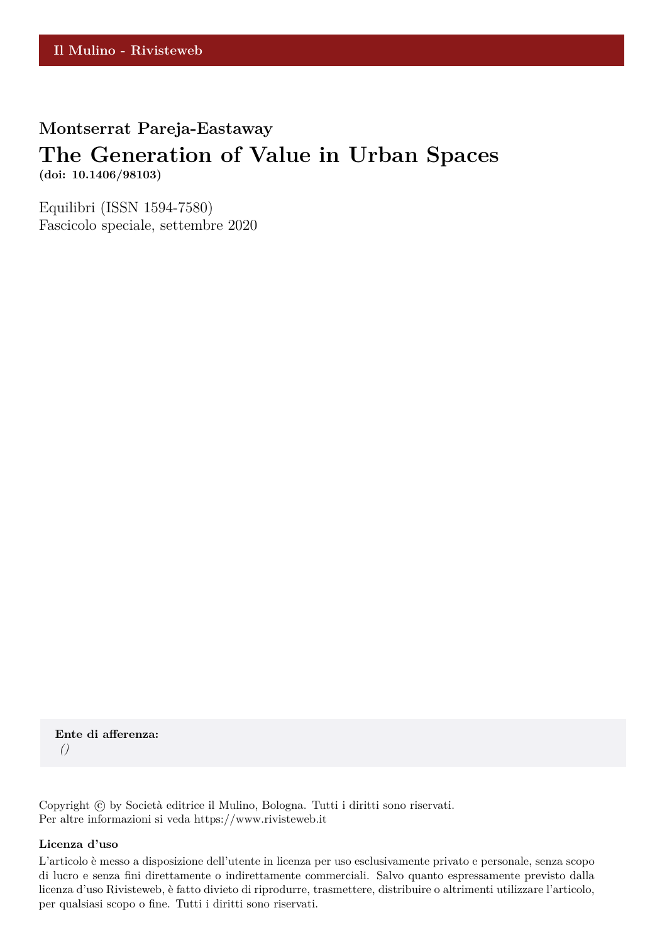**Montserrat Pareja-Eastaway**

# **The Generation of Value in Urban Spaces**

**(doi: 10.1406/98103)**

Equilibri (ISSN 1594-7580) Fascicolo speciale, settembre 2020

**Ente di afferenza:** *()*

Copyright © by Società editrice il Mulino, Bologna. Tutti i diritti sono riservati. Per altre informazioni si veda https://www.rivisteweb.it

#### **Licenza d'uso**

L'articolo è messo a disposizione dell'utente in licenza per uso esclusivamente privato e personale, senza scopo di lucro e senza fini direttamente o indirettamente commerciali. Salvo quanto espressamente previsto dalla licenza d'uso Rivisteweb, è fatto divieto di riprodurre, trasmettere, distribuire o altrimenti utilizzare l'articolo, per qualsiasi scopo o fine. Tutti i diritti sono riservati.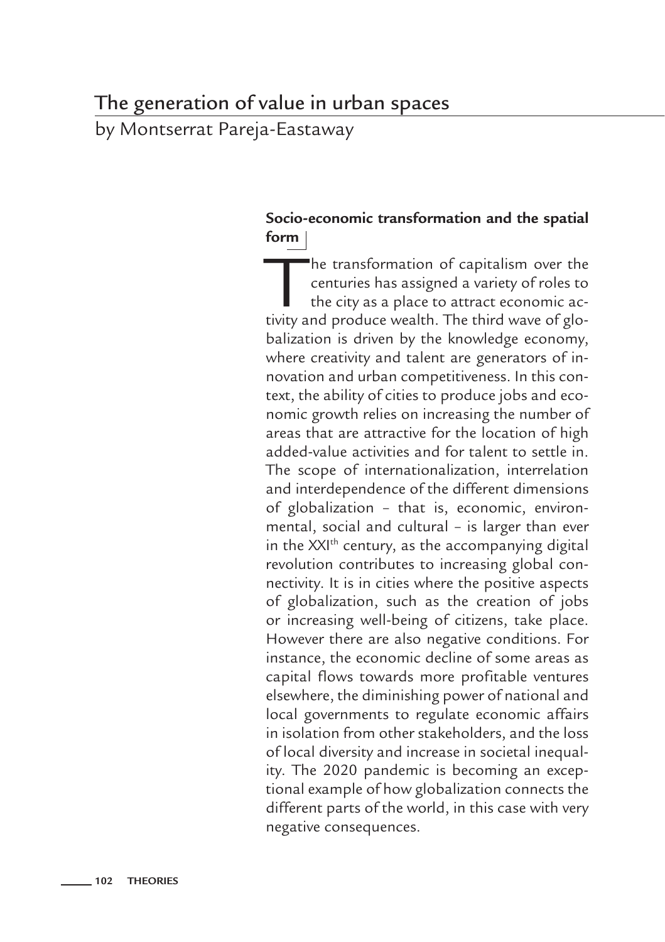# The generation of value in urban spaces

by Montserrat Pareja-Eastaway

# **Socio-economic transformation and the spatial form**

The transformation of capitalism over the<br>centuries has assigned a variety of roles to<br>the city as a place to attract economic ac-<br>tivity and produce wealth. The third wave of glocenturies has assigned a variety of roles to the city as a place to attract economic activity and produce wealth. The third wave of globalization is driven by the knowledge economy, where creativity and talent are generators of innovation and urban competitiveness. In this context, the ability of cities to produce jobs and economic growth relies on increasing the number of areas that are attractive for the location of high added-value activities and for talent to settle in. The scope of internationalization, interrelation and interdependence of the different dimensions of globalization – that is, economic, environmental, social and cultural – is larger than ever in the XXI<sup>th</sup> century, as the accompanying digital revolution contributes to increasing global connectivity. It is in cities where the positive aspects of globalization, such as the creation of jobs or increasing well-being of citizens, take place. However there are also negative conditions. For instance, the economic decline of some areas as capital flows towards more profitable ventures elsewhere, the diminishing power of national and local governments to regulate economic affairs in isolation from other stakeholders, and the loss of local diversity and increase in societal inequality. The 2020 pandemic is becoming an exceptional example of how globalization connects the different parts of the world, in this case with very negative consequences.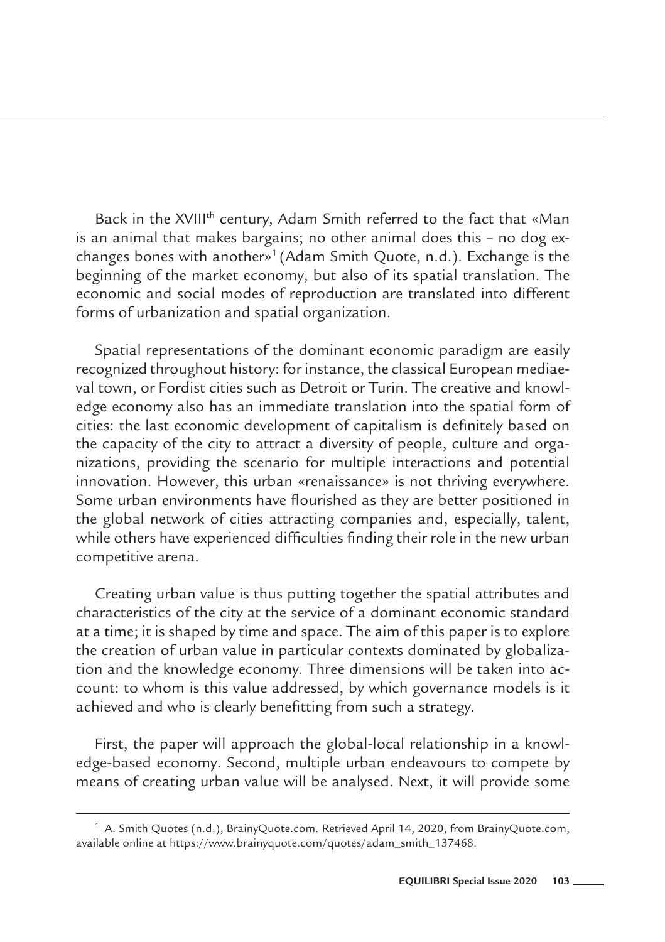Back in the XVIII<sup>th</sup> century, Adam Smith referred to the fact that «Man is an animal that makes bargains; no other animal does this – no dog exchanges bones with another»1 (Adam Smith Quote, n.d.). Exchange is the beginning of the market economy, but also of its spatial translation. The economic and social modes of reproduction are translated into different forms of urbanization and spatial organization.

Spatial representations of the dominant economic paradigm are easily recognized throughout history: for instance, the classical European mediaeval town, or Fordist cities such as Detroit or Turin. The creative and knowledge economy also has an immediate translation into the spatial form of cities: the last economic development of capitalism is definitely based on the capacity of the city to attract a diversity of people, culture and organizations, providing the scenario for multiple interactions and potential innovation. However, this urban «renaissance» is not thriving everywhere. Some urban environments have flourished as they are better positioned in the global network of cities attracting companies and, especially, talent, while others have experienced difficulties finding their role in the new urban competitive arena.

Creating urban value is thus putting together the spatial attributes and characteristics of the city at the service of a dominant economic standard at a time; it is shaped by time and space. The aim of this paper is to explore the creation of urban value in particular contexts dominated by globalization and the knowledge economy. Three dimensions will be taken into account: to whom is this value addressed, by which governance models is it achieved and who is clearly benefitting from such a strategy.

First, the paper will approach the global-local relationship in a knowledge-based economy. Second, multiple urban endeavours to compete by means of creating urban value will be analysed. Next, it will provide some

<sup>1</sup> A. Smith Quotes (n.d.), BrainyQuote.com. Retrieved April 14, 2020, from BrainyQuote.com, available online at https://www.brainyquote.com/quotes/adam\_smith\_137468.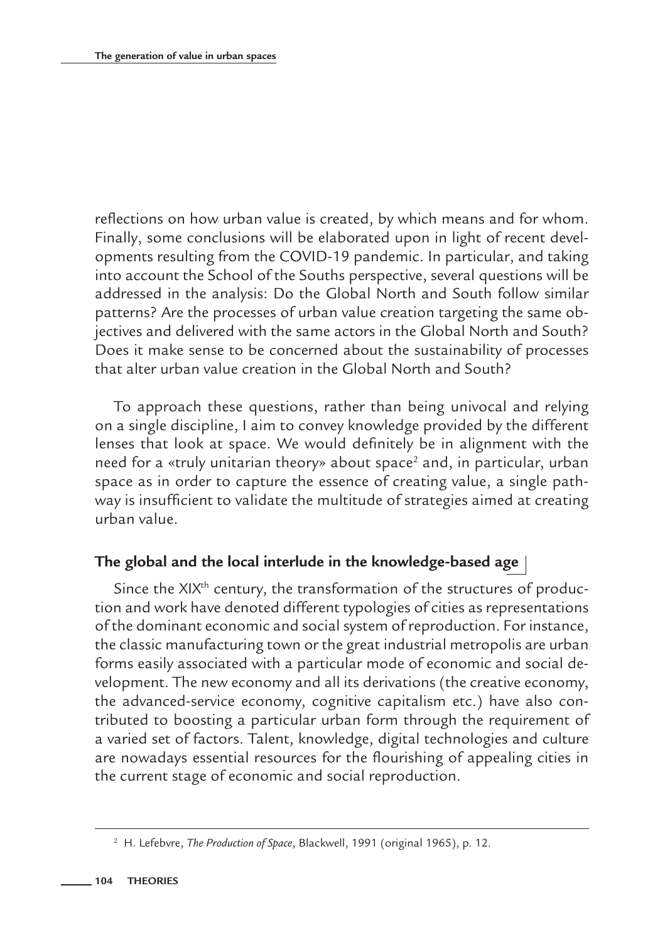reflections on how urban value is created, by which means and for whom. Finally, some conclusions will be elaborated upon in light of recent developments resulting from the COVID-19 pandemic. In particular, and taking into account the School of the Souths perspective, several questions will be addressed in the analysis: Do the Global North and South follow similar patterns? Are the processes of urban value creation targeting the same objectives and delivered with the same actors in the Global North and South? Does it make sense to be concerned about the sustainability of processes that alter urban value creation in the Global North and South?

To approach these questions, rather than being univocal and relying on a single discipline, I aim to convey knowledge provided by the different lenses that look at space. We would definitely be in alignment with the need for a «truly unitarian theory» about space<sup>2</sup> and, in particular, urban space as in order to capture the essence of creating value, a single pathway is insufficient to validate the multitude of strategies aimed at creating urban value.

# **The global and the local interlude in the knowledge-based age**

Since the XIX<sup>th</sup> century, the transformation of the structures of production and work have denoted different typologies of cities as representations of the dominant economic and social system of reproduction. For instance, the classic manufacturing town or the great industrial metropolis are urban forms easily associated with a particular mode of economic and social development. The new economy and all its derivations (the creative economy, the advanced-service economy, cognitive capitalism etc.) have also contributed to boosting a particular urban form through the requirement of a varied set of factors. Talent, knowledge, digital technologies and culture are nowadays essential resources for the flourishing of appealing cities in the current stage of economic and social reproduction.

<sup>2</sup> H. Lefebvre, *The Production of Space*, Blackwell, 1991 (original 1965), p. 12.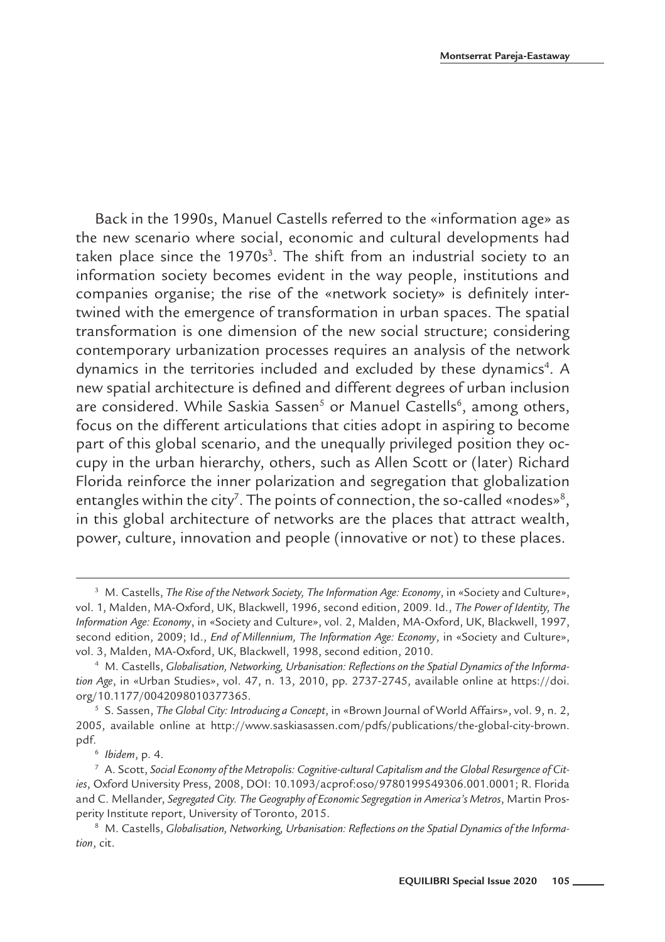Back in the 1990s, Manuel Castells referred to the «information age» as the new scenario where social, economic and cultural developments had taken place since the  $1970s<sup>3</sup>$ . The shift from an industrial society to an information society becomes evident in the way people, institutions and companies organise; the rise of the «network society» is definitely intertwined with the emergence of transformation in urban spaces. The spatial transformation is one dimension of the new social structure; considering contemporary urbanization processes requires an analysis of the network dynamics in the territories included and excluded by these dynamics<sup>4</sup>. A new spatial architecture is defined and different degrees of urban inclusion are considered. While Saskia Sassen<sup>5</sup> or Manuel Castells<sup>6</sup>, among others, focus on the different articulations that cities adopt in aspiring to become part of this global scenario, and the unequally privileged position they occupy in the urban hierarchy, others, such as Allen Scott or (later) Richard Florida reinforce the inner polarization and segregation that globalization entangles within the city<sup>7</sup>. The points of connection, the so-called «nodes»<sup>8</sup>, in this global architecture of networks are the places that attract wealth, power, culture, innovation and people (innovative or not) to these places.

<sup>&</sup>lt;sup>3</sup> M. Castells, *The Rise of the Network Society, The Information Age: Economy, in «Society and Culture»,* vol. 1, Malden, MA-Oxford, UK, Blackwell, 1996, second edition, 2009. Id., *The Power of Identity, The Information Age: Economy*, in «Society and Culture», vol. 2, Malden, MA-Oxford, UK, Blackwell, 1997, second edition, 2009; Id., *End of Millennium, The Information Age: Economy*, in «Society and Culture», vol. 3, Malden, MA-Oxford, UK, Blackwell, 1998, second edition, 2010.

<sup>4</sup> M. Castells, *Globalisation, Networking, Urbanisation: Reflections on the Spatial Dynamics of the Information Age*, in «Urban Studies», vol. 47, n. 13, 2010, pp. 2737-2745, available online at https://doi. org/10.1177/0042098010377365.

<sup>5</sup> S. Sassen, *The Global City: Introducing a Concept*, in «Brown Journal of World Affairs», vol. 9, n. 2, 2005, available online at http://www.saskiasassen.com/pdfs/publications/the-global-city-brown. pdf.

<sup>6</sup> *Ibidem*, p. 4.

<sup>7</sup> A. Scott, *Social Economy of the Metropolis: Cognitive-cultural Capitalism and the Global Resurgence of Cities*, Oxford University Press, 2008, DOI: 10.1093/acprof:oso/9780199549306.001.0001; R. Florida and C. Mellander, *Segregated City. The Geography of Economic Segregation in America's Metros*, Martin Prosperity Institute report, University of Toronto, 2015.

<sup>&</sup>lt;sup>8</sup> M. Castells, *Globalisation, Networking, Urbanisation: Reflections on the Spatial Dynamics of the Information*, cit.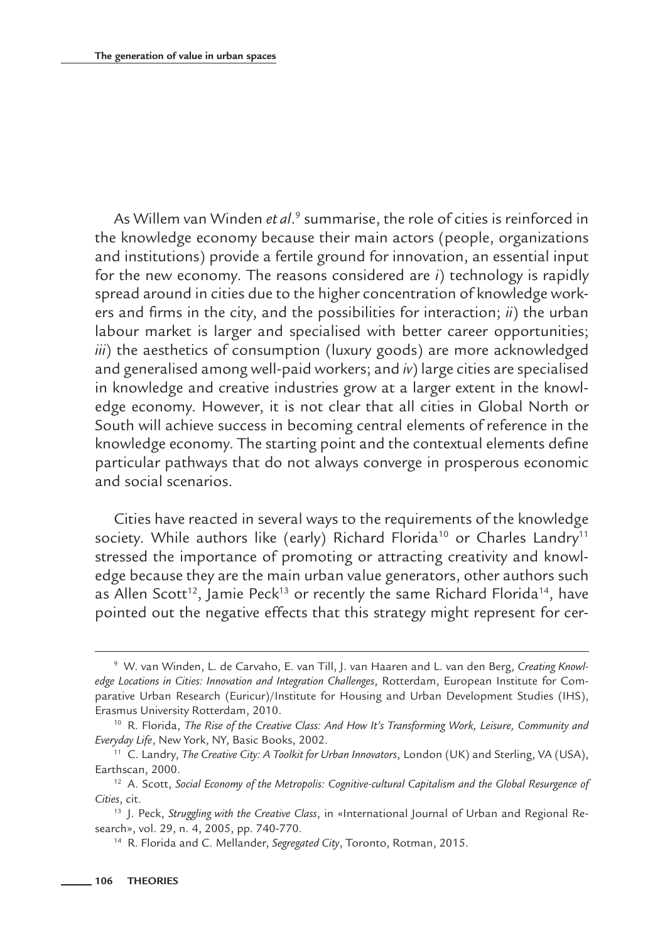As Willem van Winden et al.<sup>9</sup> summarise, the role of cities is reinforced in the knowledge economy because their main actors (people, organizations and institutions) provide a fertile ground for innovation, an essential input for the new economy. The reasons considered are *i*) technology is rapidly spread around in cities due to the higher concentration of knowledge workers and firms in the city, and the possibilities for interaction; *ii*) the urban labour market is larger and specialised with better career opportunities; *iii*) the aesthetics of consumption (luxury goods) are more acknowledged and generalised among well-paid workers; and *iv*) large cities are specialised in knowledge and creative industries grow at a larger extent in the knowledge economy. However, it is not clear that all cities in Global North or South will achieve success in becoming central elements of reference in the knowledge economy. The starting point and the contextual elements define particular pathways that do not always converge in prosperous economic and social scenarios.

Cities have reacted in several ways to the requirements of the knowledge society. While authors like (early) Richard Florida<sup>10</sup> or Charles Landry<sup>11</sup> stressed the importance of promoting or attracting creativity and knowledge because they are the main urban value generators, other authors such as Allen Scott<sup>12</sup>, Jamie Peck<sup>13</sup> or recently the same Richard Florida<sup>14</sup>, have pointed out the negative effects that this strategy might represent for cer-

<sup>9</sup> W. van Winden, L. de Carvaho, E. van Till, J. van Haaren and L. van den Berg, *Creating Knowledge Locations in Cities: Innovation and Integration Challenges*, Rotterdam, European Institute for Comparative Urban Research (Euricur)/Institute for Housing and Urban Development Studies (IHS), Erasmus University Rotterdam, 2010.

<sup>10</sup> R. Florida, *The Rise of the Creative Class: And How It's Transforming Work, Leisure, Community and Everyday Life*, New York, NY, Basic Books, 2002.

<sup>11</sup> C. Landry, *The Creative City: A Toolkit for Urban Innovators*, London (UK) and Sterling, VA (USA), Earthscan, 2000.

<sup>12</sup> A. Scott, *Social Economy of the Metropolis: Cognitive-cultural Capitalism and the Global Resurgence of Cities*, cit.

<sup>13</sup> J. Peck, *Struggling with the Creative Class*, in «International Journal of Urban and Regional Research», vol. 29, n. 4, 2005, pp. 740-770.

<sup>14</sup> R. Florida and C. Mellander, *Segregated City*, Toronto, Rotman, 2015.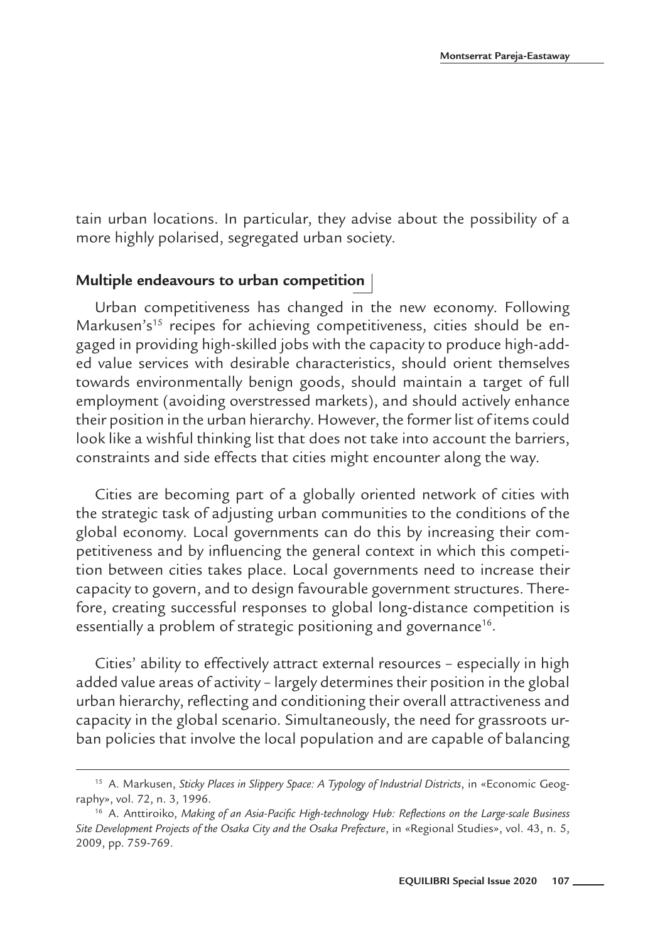tain urban locations. In particular, they advise about the possibility of a more highly polarised, segregated urban society.

#### **Multiple endeavours to urban competition**

Urban competitiveness has changed in the new economy. Following Markusen's<sup>15</sup> recipes for achieving competitiveness, cities should be engaged in providing high-skilled jobs with the capacity to produce high-added value services with desirable characteristics, should orient themselves towards environmentally benign goods, should maintain a target of full employment (avoiding overstressed markets), and should actively enhance their position in the urban hierarchy. However, the former list of items could look like a wishful thinking list that does not take into account the barriers, constraints and side effects that cities might encounter along the way.

Cities are becoming part of a globally oriented network of cities with the strategic task of adjusting urban communities to the conditions of the global economy. Local governments can do this by increasing their competitiveness and by influencing the general context in which this competition between cities takes place. Local governments need to increase their capacity to govern, and to design favourable government structures. Therefore, creating successful responses to global long-distance competition is essentially a problem of strategic positioning and governance<sup>16</sup>.

Cities' ability to effectively attract external resources – especially in high added value areas of activity – largely determines their position in the global urban hierarchy, reflecting and conditioning their overall attractiveness and capacity in the global scenario. Simultaneously, the need for grassroots urban policies that involve the local population and are capable of balancing

<sup>15</sup> A. Markusen, *Sticky Places in Slippery Space: A Typology of Industrial Districts*, in «Economic Geography», vol. 72, n. 3, 1996.

<sup>16</sup> A. Anttiroiko, *Making of an Asia-Pacific High-technology Hub: Reflections on the Large-scale Business Site Development Projects of the Osaka City and the Osaka Prefecture*, in «Regional Studies», vol. 43, n. 5, 2009, pp. 759-769.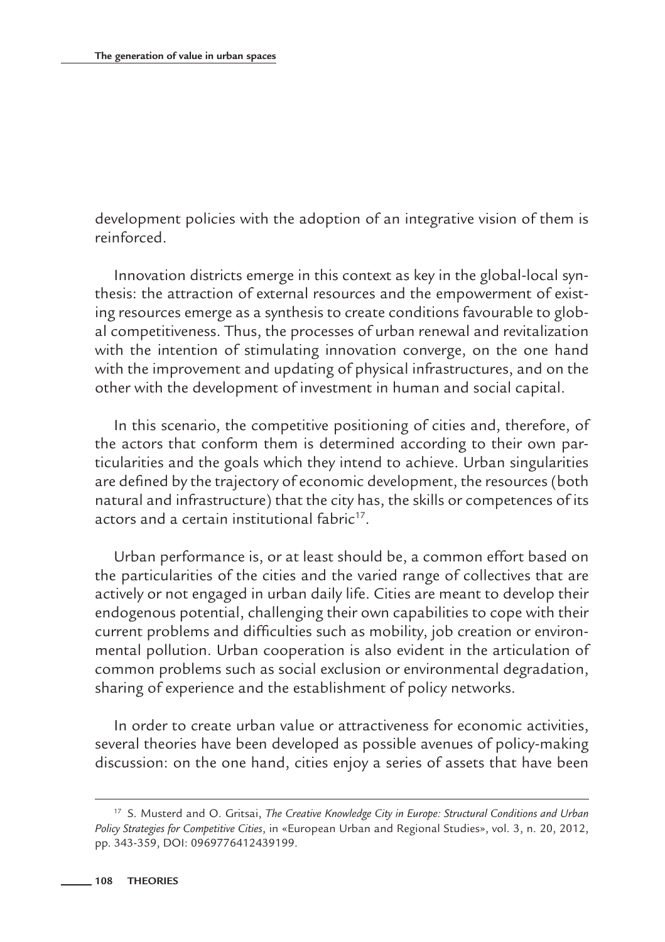development policies with the adoption of an integrative vision of them is reinforced.

Innovation districts emerge in this context as key in the global-local synthesis: the attraction of external resources and the empowerment of existing resources emerge as a synthesis to create conditions favourable to global competitiveness. Thus, the processes of urban renewal and revitalization with the intention of stimulating innovation converge, on the one hand with the improvement and updating of physical infrastructures, and on the other with the development of investment in human and social capital.

In this scenario, the competitive positioning of cities and, therefore, of the actors that conform them is determined according to their own particularities and the goals which they intend to achieve. Urban singularities are defined by the trajectory of economic development, the resources (both natural and infrastructure) that the city has, the skills or competences of its actors and a certain institutional fabric<sup>17</sup>.

Urban performance is, or at least should be, a common effort based on the particularities of the cities and the varied range of collectives that are actively or not engaged in urban daily life. Cities are meant to develop their endogenous potential, challenging their own capabilities to cope with their current problems and difficulties such as mobility, job creation or environmental pollution. Urban cooperation is also evident in the articulation of common problems such as social exclusion or environmental degradation, sharing of experience and the establishment of policy networks.

In order to create urban value or attractiveness for economic activities, several theories have been developed as possible avenues of policy-making discussion: on the one hand, cities enjoy a series of assets that have been

<sup>17</sup> S. Musterd and O. Gritsai, *The Creative Knowledge City in Europe: Structural Conditions and Urban Policy Strategies for Competitive Cities*, in «European Urban and Regional Studies», vol. 3, n. 20, 2012, pp. 343-359, DOI: 0969776412439199.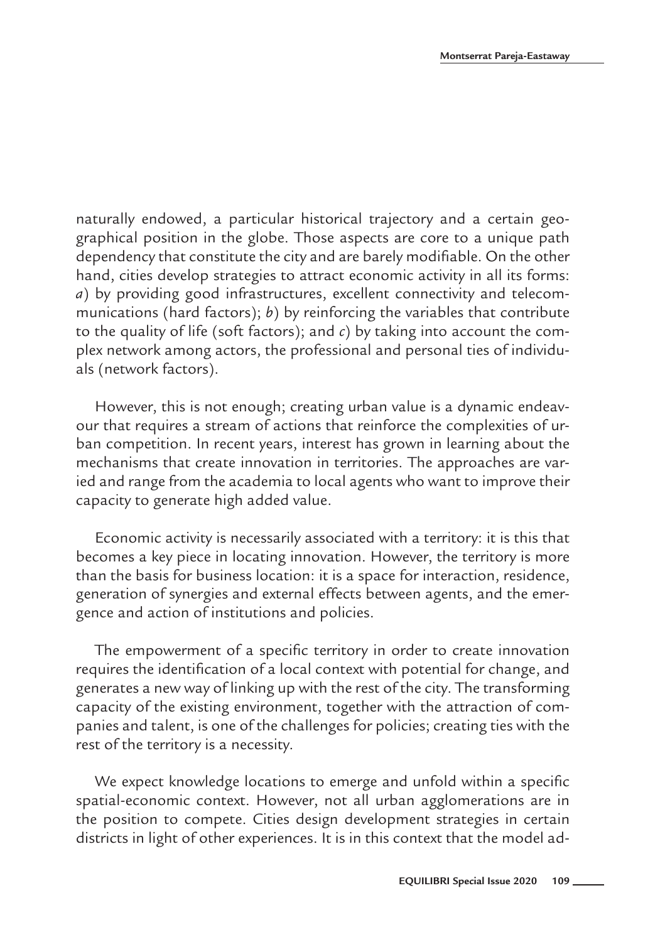naturally endowed, a particular historical trajectory and a certain geographical position in the globe. Those aspects are core to a unique path dependency that constitute the city and are barely modifiable. On the other hand, cities develop strategies to attract economic activity in all its forms: *a*) by providing good infrastructures, excellent connectivity and telecommunications (hard factors); *b*) by reinforcing the variables that contribute to the quality of life (soft factors); and *c*) by taking into account the complex network among actors, the professional and personal ties of individuals (network factors).

However, this is not enough; creating urban value is a dynamic endeavour that requires a stream of actions that reinforce the complexities of urban competition. In recent years, interest has grown in learning about the mechanisms that create innovation in territories. The approaches are varied and range from the academia to local agents who want to improve their capacity to generate high added value.

Economic activity is necessarily associated with a territory: it is this that becomes a key piece in locating innovation. However, the territory is more than the basis for business location: it is a space for interaction, residence, generation of synergies and external effects between agents, and the emergence and action of institutions and policies.

The empowerment of a specific territory in order to create innovation requires the identification of a local context with potential for change, and generates a new way of linking up with the rest of the city. The transforming capacity of the existing environment, together with the attraction of companies and talent, is one of the challenges for policies; creating ties with the rest of the territory is a necessity.

We expect knowledge locations to emerge and unfold within a specific spatial-economic context. However, not all urban agglomerations are in the position to compete. Cities design development strategies in certain districts in light of other experiences. It is in this context that the model ad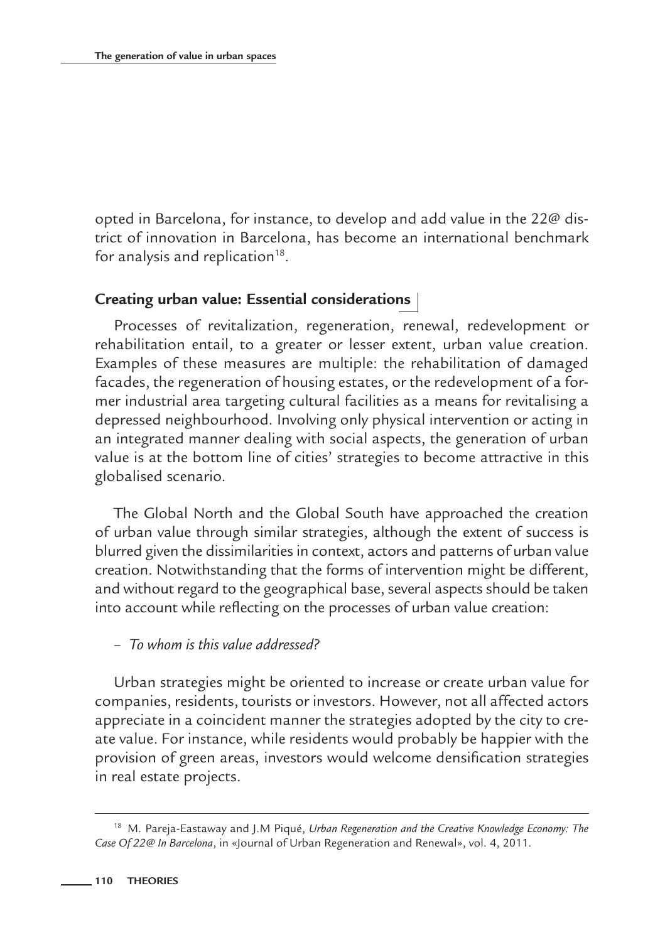opted in Barcelona, for instance, to develop and add value in the 22@ district of innovation in Barcelona, has become an international benchmark for analysis and replication $18$ .

## **Creating urban value: Essential considerations**

Processes of revitalization, regeneration, renewal, redevelopment or rehabilitation entail, to a greater or lesser extent, urban value creation. Examples of these measures are multiple: the rehabilitation of damaged facades, the regeneration of housing estates, or the redevelopment of a former industrial area targeting cultural facilities as a means for revitalising a depressed neighbourhood. Involving only physical intervention or acting in an integrated manner dealing with social aspects, the generation of urban value is at the bottom line of cities' strategies to become attractive in this globalised scenario.

The Global North and the Global South have approached the creation of urban value through similar strategies, although the extent of success is blurred given the dissimilarities in context, actors and patterns of urban value creation. Notwithstanding that the forms of intervention might be different, and without regard to the geographical base, several aspects should be taken into account while reflecting on the processes of urban value creation:

#### – *To whom is this value addressed?*

Urban strategies might be oriented to increase or create urban value for companies, residents, tourists or investors. However, not all affected actors appreciate in a coincident manner the strategies adopted by the city to create value. For instance, while residents would probably be happier with the provision of green areas, investors would welcome densification strategies in real estate projects.

<sup>18</sup> M. Pareja-Eastaway and J.M Piqué, *Urban Regeneration and the Creative Knowledge Economy: The Case Of 22@ In Barcelona*, in «Journal of Urban Regeneration and Renewal», vol. 4, 2011.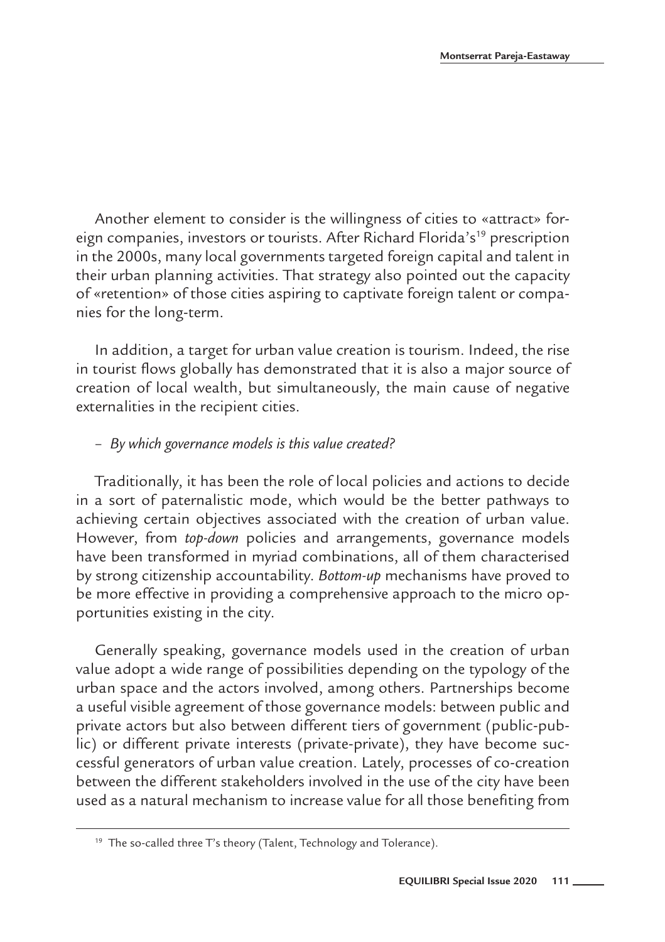Another element to consider is the willingness of cities to «attract» foreign companies, investors or tourists. After Richard Florida's<sup>19</sup> prescription in the 2000s, many local governments targeted foreign capital and talent in their urban planning activities. That strategy also pointed out the capacity of «retention» of those cities aspiring to captivate foreign talent or companies for the long-term.

In addition, a target for urban value creation is tourism. Indeed, the rise in tourist flows globally has demonstrated that it is also a major source of creation of local wealth, but simultaneously, the main cause of negative externalities in the recipient cities.

#### – *By which governance models is this value created?*

Traditionally, it has been the role of local policies and actions to decide in a sort of paternalistic mode, which would be the better pathways to achieving certain objectives associated with the creation of urban value. However, from *top-down* policies and arrangements, governance models have been transformed in myriad combinations, all of them characterised by strong citizenship accountability. *Bottom-up* mechanisms have proved to be more effective in providing a comprehensive approach to the micro opportunities existing in the city.

Generally speaking, governance models used in the creation of urban value adopt a wide range of possibilities depending on the typology of the urban space and the actors involved, among others. Partnerships become a useful visible agreement of those governance models: between public and private actors but also between different tiers of government (public-public) or different private interests (private-private), they have become successful generators of urban value creation. Lately, processes of co-creation between the different stakeholders involved in the use of the city have been used as a natural mechanism to increase value for all those benefiting from

<sup>&</sup>lt;sup>19</sup> The so-called three T's theory (Talent, Technology and Tolerance).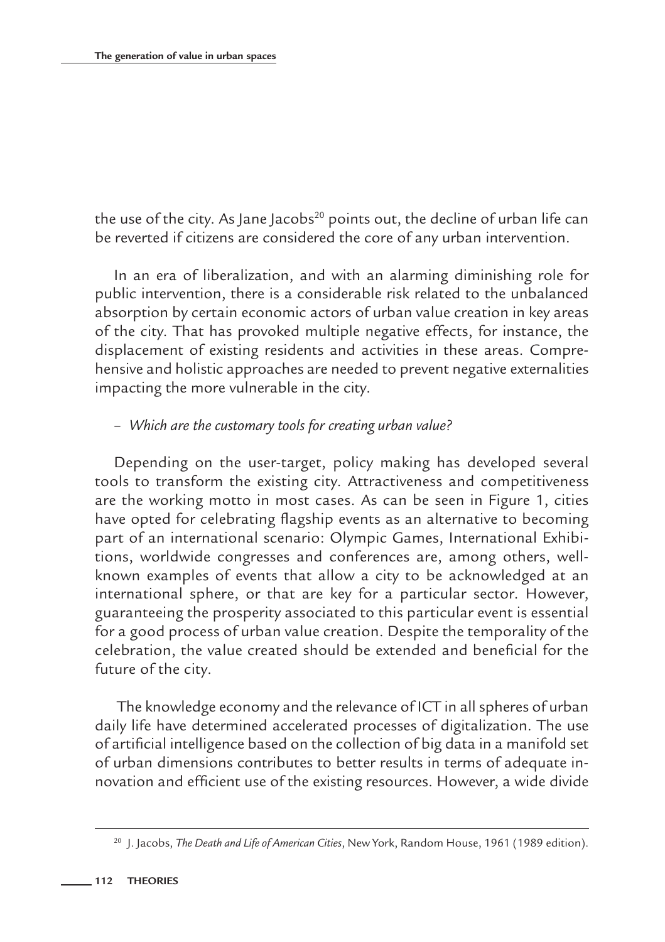the use of the city. As Jane Jacobs $20$  points out, the decline of urban life can be reverted if citizens are considered the core of any urban intervention.

In an era of liberalization, and with an alarming diminishing role for public intervention, there is a considerable risk related to the unbalanced absorption by certain economic actors of urban value creation in key areas of the city. That has provoked multiple negative effects, for instance, the displacement of existing residents and activities in these areas. Comprehensive and holistic approaches are needed to prevent negative externalities impacting the more vulnerable in the city.

# – *Which are the customary tools for creating urban value?*

Depending on the user-target, policy making has developed several tools to transform the existing city. Attractiveness and competitiveness are the working motto in most cases. As can be seen in Figure 1, cities have opted for celebrating flagship events as an alternative to becoming part of an international scenario: Olympic Games, International Exhibitions, worldwide congresses and conferences are, among others, wellknown examples of events that allow a city to be acknowledged at an international sphere, or that are key for a particular sector. However, guaranteeing the prosperity associated to this particular event is essential for a good process of urban value creation. Despite the temporality of the celebration, the value created should be extended and beneficial for the future of the city.

 The knowledge economy and the relevance of ICT in all spheres of urban daily life have determined accelerated processes of digitalization. The use of artificial intelligence based on the collection of big data in a manifold set of urban dimensions contributes to better results in terms of adequate innovation and efficient use of the existing resources. However, a wide divide

<sup>20</sup> J. Jacobs, *The Death and Life of American Cities*, New York, Random House, 1961 (1989 edition).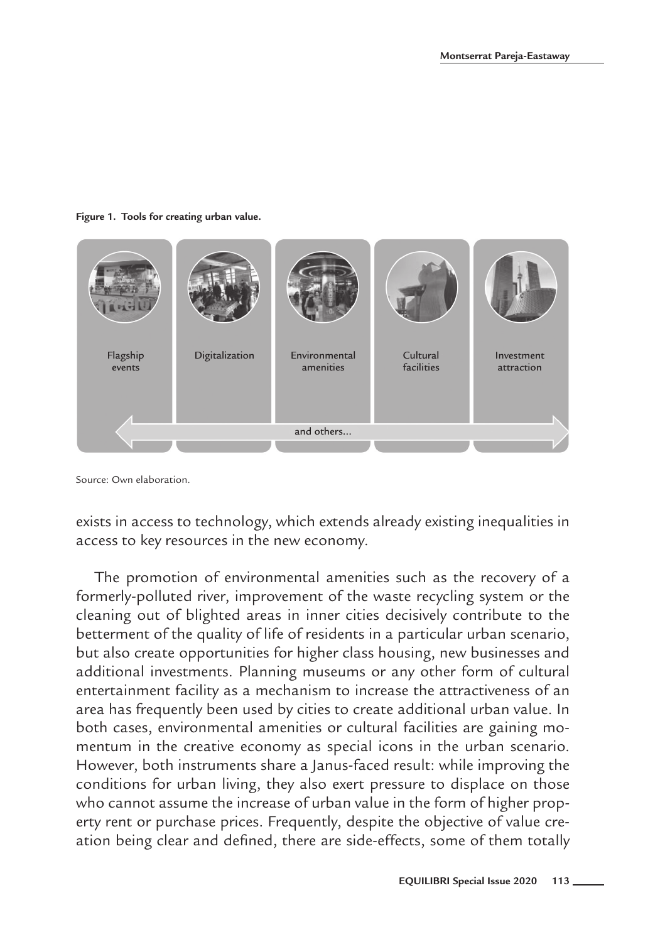**Figure 1. Tools for creating urban value.**



Source: Own elaboration.

exists in access to technology, which extends already existing inequalities in access to key resources in the new economy.

The promotion of environmental amenities such as the recovery of a formerly-polluted river, improvement of the waste recycling system or the cleaning out of blighted areas in inner cities decisively contribute to the betterment of the quality of life of residents in a particular urban scenario, but also create opportunities for higher class housing, new businesses and additional investments. Planning museums or any other form of cultural entertainment facility as a mechanism to increase the attractiveness of an area has frequently been used by cities to create additional urban value. In both cases, environmental amenities or cultural facilities are gaining momentum in the creative economy as special icons in the urban scenario. However, both instruments share a Janus-faced result: while improving the conditions for urban living, they also exert pressure to displace on those who cannot assume the increase of urban value in the form of higher property rent or purchase prices. Frequently, despite the objective of value creation being clear and defined, there are side-effects, some of them totally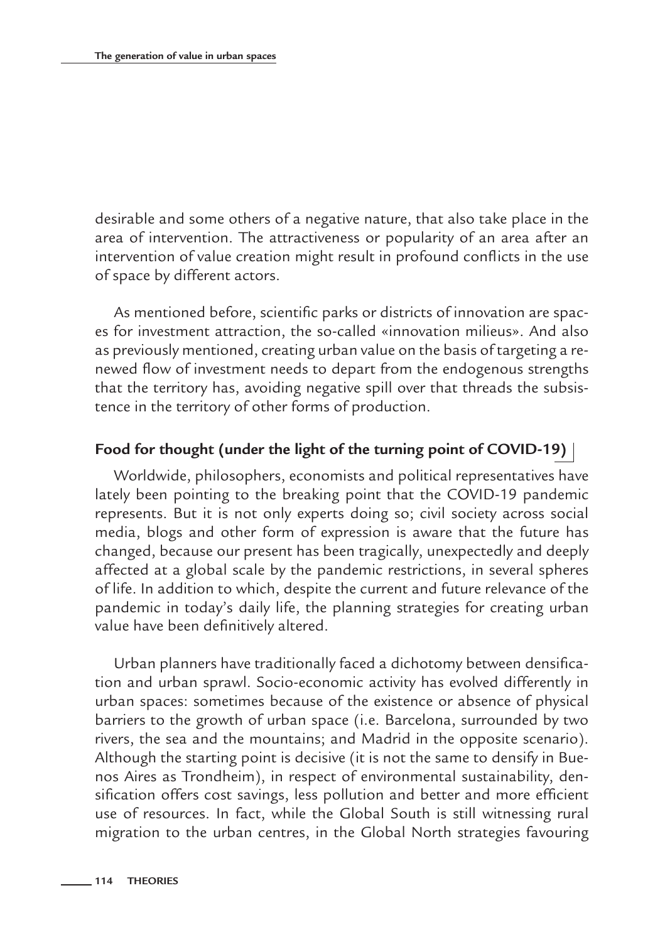desirable and some others of a negative nature, that also take place in the area of intervention. The attractiveness or popularity of an area after an intervention of value creation might result in profound conflicts in the use of space by different actors.

As mentioned before, scientific parks or districts of innovation are spaces for investment attraction, the so-called «innovation milieus». And also as previously mentioned, creating urban value on the basis of targeting a renewed flow of investment needs to depart from the endogenous strengths that the territory has, avoiding negative spill over that threads the subsistence in the territory of other forms of production.

### **Food for thought (under the light of the turning point of COVID-19)**

Worldwide, philosophers, economists and political representatives have lately been pointing to the breaking point that the COVID-19 pandemic represents. But it is not only experts doing so; civil society across social media, blogs and other form of expression is aware that the future has changed, because our present has been tragically, unexpectedly and deeply affected at a global scale by the pandemic restrictions, in several spheres of life. In addition to which, despite the current and future relevance of the pandemic in today's daily life, the planning strategies for creating urban value have been definitively altered.

Urban planners have traditionally faced a dichotomy between densification and urban sprawl. Socio-economic activity has evolved differently in urban spaces: sometimes because of the existence or absence of physical barriers to the growth of urban space (i.e. Barcelona, surrounded by two rivers, the sea and the mountains; and Madrid in the opposite scenario). Although the starting point is decisive (it is not the same to densify in Buenos Aires as Trondheim), in respect of environmental sustainability, densification offers cost savings, less pollution and better and more efficient use of resources. In fact, while the Global South is still witnessing rural migration to the urban centres, in the Global North strategies favouring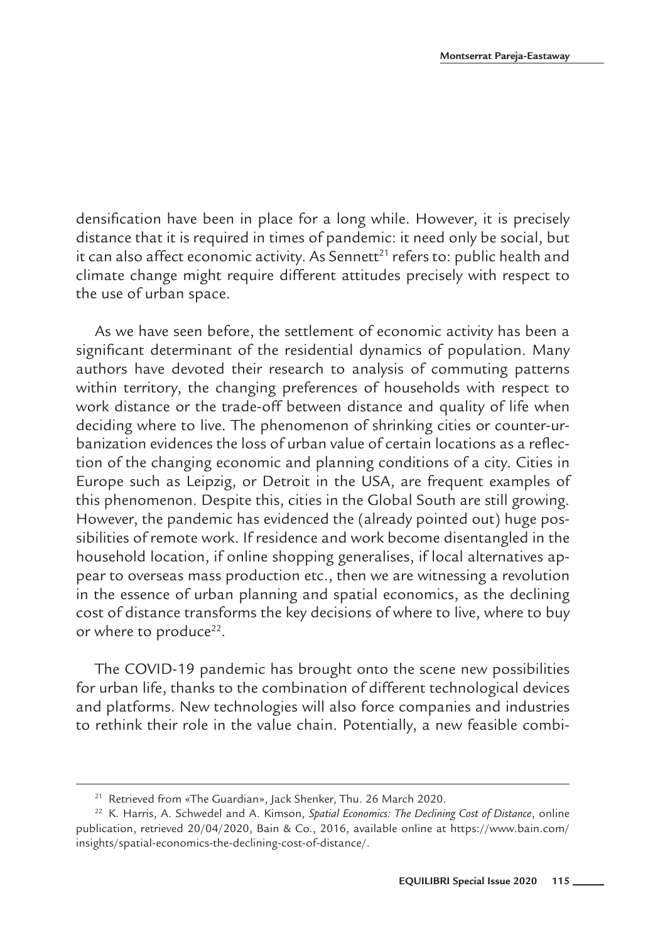densification have been in place for a long while. However, it is precisely distance that it is required in times of pandemic: it need only be social, but it can also affect economic activity. As Sennett<sup>21</sup> refers to: public health and climate change might require different attitudes precisely with respect to the use of urban space.

As we have seen before, the settlement of economic activity has been a significant determinant of the residential dynamics of population. Many authors have devoted their research to analysis of commuting patterns within territory, the changing preferences of households with respect to work distance or the trade-off between distance and quality of life when deciding where to live. The phenomenon of shrinking cities or counter-urbanization evidences the loss of urban value of certain locations as a reflection of the changing economic and planning conditions of a city. Cities in Europe such as Leipzig, or Detroit in the USA, are frequent examples of this phenomenon. Despite this, cities in the Global South are still growing. However, the pandemic has evidenced the (already pointed out) huge possibilities of remote work. If residence and work become disentangled in the household location, if online shopping generalises, if local alternatives appear to overseas mass production etc., then we are witnessing a revolution in the essence of urban planning and spatial economics, as the declining cost of distance transforms the key decisions of where to live, where to buy or where to produce<sup>22</sup>.

The COVID-19 pandemic has brought onto the scene new possibilities for urban life, thanks to the combination of different technological devices and platforms. New technologies will also force companies and industries to rethink their role in the value chain. Potentially, a new feasible combi-

<sup>21</sup> Retrieved from «The Guardian», Jack Shenker, Thu. 26 March 2020.

<sup>22</sup> K. Harris, A. Schwedel and A. Kimson, *Spatial Economics: The Declining Cost of Distance*, online publication, retrieved 20/04/2020, Bain & Co., 2016, available online at https://www.bain.com/ insights/spatial-economics-the-declining-cost-of-distance/.